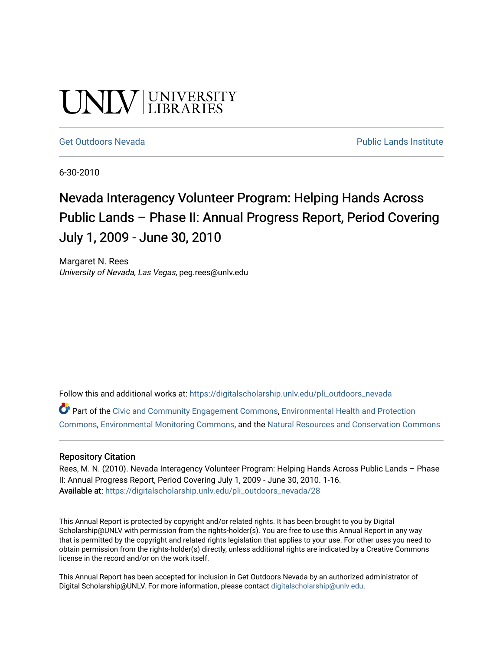# UNIV UNIVERSITY

#### [Get Outdoors Nevada](https://digitalscholarship.unlv.edu/pli_outdoors_nevada) **Public Lands Institute** Public Lands Institute

6-30-2010

# Nevada Interagency Volunteer Program: Helping Hands Across Public Lands – Phase II: Annual Progress Report, Period Covering July 1, 2009 - June 30, 2010

Margaret N. Rees University of Nevada, Las Vegas, peg.rees@unlv.edu

Follow this and additional works at: [https://digitalscholarship.unlv.edu/pli\\_outdoors\\_nevada](https://digitalscholarship.unlv.edu/pli_outdoors_nevada?utm_source=digitalscholarship.unlv.edu%2Fpli_outdoors_nevada%2F28&utm_medium=PDF&utm_campaign=PDFCoverPages)

Part of the [Civic and Community Engagement Commons](http://network.bepress.com/hgg/discipline/1028?utm_source=digitalscholarship.unlv.edu%2Fpli_outdoors_nevada%2F28&utm_medium=PDF&utm_campaign=PDFCoverPages), [Environmental Health and Protection](http://network.bepress.com/hgg/discipline/172?utm_source=digitalscholarship.unlv.edu%2Fpli_outdoors_nevada%2F28&utm_medium=PDF&utm_campaign=PDFCoverPages)  [Commons](http://network.bepress.com/hgg/discipline/172?utm_source=digitalscholarship.unlv.edu%2Fpli_outdoors_nevada%2F28&utm_medium=PDF&utm_campaign=PDFCoverPages), [Environmental Monitoring Commons,](http://network.bepress.com/hgg/discipline/931?utm_source=digitalscholarship.unlv.edu%2Fpli_outdoors_nevada%2F28&utm_medium=PDF&utm_campaign=PDFCoverPages) and the [Natural Resources and Conservation Commons](http://network.bepress.com/hgg/discipline/168?utm_source=digitalscholarship.unlv.edu%2Fpli_outdoors_nevada%2F28&utm_medium=PDF&utm_campaign=PDFCoverPages)

#### Repository Citation

Rees, M. N. (2010). Nevada Interagency Volunteer Program: Helping Hands Across Public Lands - Phase II: Annual Progress Report, Period Covering July 1, 2009 - June 30, 2010. 1-16. Available at: [https://digitalscholarship.unlv.edu/pli\\_outdoors\\_nevada/28](https://digitalscholarship.unlv.edu/pli_outdoors_nevada/28) 

This Annual Report is protected by copyright and/or related rights. It has been brought to you by Digital Scholarship@UNLV with permission from the rights-holder(s). You are free to use this Annual Report in any way that is permitted by the copyright and related rights legislation that applies to your use. For other uses you need to obtain permission from the rights-holder(s) directly, unless additional rights are indicated by a Creative Commons license in the record and/or on the work itself.

This Annual Report has been accepted for inclusion in Get Outdoors Nevada by an authorized administrator of Digital Scholarship@UNLV. For more information, please contact [digitalscholarship@unlv.edu](mailto:digitalscholarship@unlv.edu).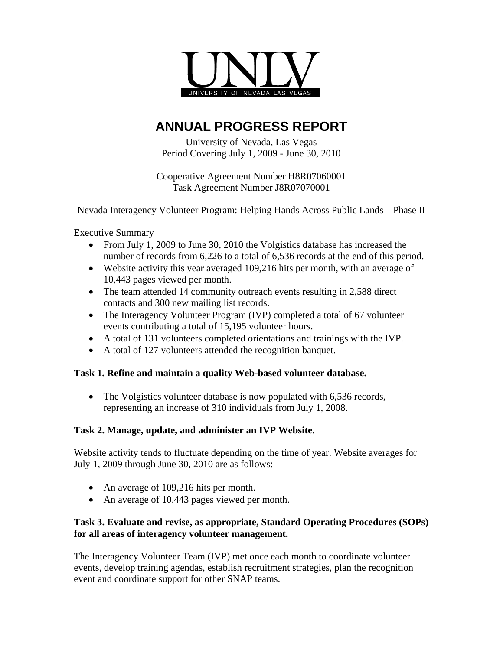

# **ANNUAL PROGRESS REPORT**

University of Nevada, Las Vegas Period Covering July 1, 2009 - June 30, 2010

Cooperative Agreement Number H8R07060001 Task Agreement Number J8R07070001

Nevada Interagency Volunteer Program: Helping Hands Across Public Lands – Phase II

Executive Summary

- From July 1, 2009 to June 30, 2010 the Volgistics database has increased the number of records from 6,226 to a total of 6,536 records at the end of this period.
- Website activity this year averaged 109,216 hits per month, with an average of 10,443 pages viewed per month.
- The team attended 14 community outreach events resulting in 2,588 direct contacts and 300 new mailing list records.
- The Interagency Volunteer Program (IVP) completed a total of 67 volunteer events contributing a total of 15,195 volunteer hours.
- A total of 131 volunteers completed orientations and trainings with the IVP.
- A total of 127 volunteers attended the recognition banquet.

# **Task 1. Refine and maintain a quality Web-based volunteer database.**

• The Volgistics volunteer database is now populated with 6,536 records, representing an increase of 310 individuals from July 1, 2008.

# **Task 2. Manage, update, and administer an IVP Website.**

Website activity tends to fluctuate depending on the time of year. Website averages for July 1, 2009 through June 30, 2010 are as follows:

- An average of 109,216 hits per month.
- An average of 10,443 pages viewed per month.

# **Task 3. Evaluate and revise, as appropriate, Standard Operating Procedures (SOPs) for all areas of interagency volunteer management.**

The Interagency Volunteer Team (IVP) met once each month to coordinate volunteer events, develop training agendas, establish recruitment strategies, plan the recognition event and coordinate support for other SNAP teams.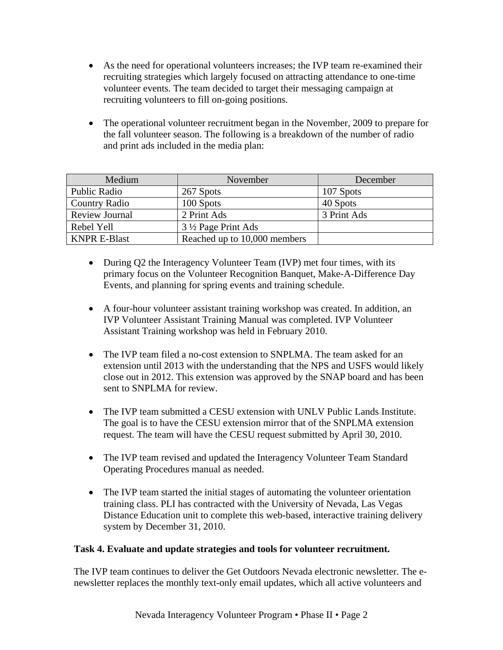- As the need for operational volunteers increases; the IVP team re-examined their recruiting strategies which largely focused on attracting attendance to one-time volunteer events. The team decided to target their messaging campaign at recruiting volunteers to fill on-going positions.
- The operational volunteer recruitment began in the November, 2009 to prepare for the fall volunteer season. The following is a breakdown of the number of radio and print ads included in the media plan:

| Medium                           | November                     | December    |
|----------------------------------|------------------------------|-------------|
| Public Radio                     | 267 Spots                    | 107 Spots   |
| <b>Country Radio</b>             | 100 Spots                    | 40 Spots    |
| <b>Review Journal</b>            | 2 Print Ads                  | 3 Print Ads |
| Rebel Yell<br>3 ½ Page Print Ads |                              |             |
| <b>KNPR E-Blast</b>              | Reached up to 10,000 members |             |

- During Q2 the Interagency Volunteer Team (IVP) met four times, with its primary focus on the Volunteer Recognition Banquet, Make-A-Difference Day Events, and planning for spring events and training schedule.
- A four-hour volunteer assistant training workshop was created. In addition, an IVP Volunteer Assistant Training Manual was completed. IVP Volunteer Assistant Training workshop was held in February 2010.
- The IVP team filed a no-cost extension to SNPLMA. The team asked for an extension until 2013 with the understanding that the NPS and USFS would likely close out in 2012. This extension was approved by the SNAP board and has been sent to SNPLMA for review.
- The IVP team submitted a CESU extension with UNLV Public Lands Institute. The goal is to have the CESU extension mirror that of the SNPLMA extension request. The team will have the CESU request submitted by April 30, 2010.
- The IVP team revised and updated the Interagency Volunteer Team Standard Operating Procedures manual as needed.
- The IVP team started the initial stages of automating the volunteer orientation training class. PLI has contracted with the University of Nevada, Las Vegas Distance Education unit to complete this web-based, interactive training delivery system by December 31, 2010.

# **Task 4. Evaluate and update strategies and tools for volunteer recruitment.**

The IVP team continues to deliver the Get Outdoors Nevada electronic newsletter. The enewsletter replaces the monthly text-only email updates, which all active volunteers and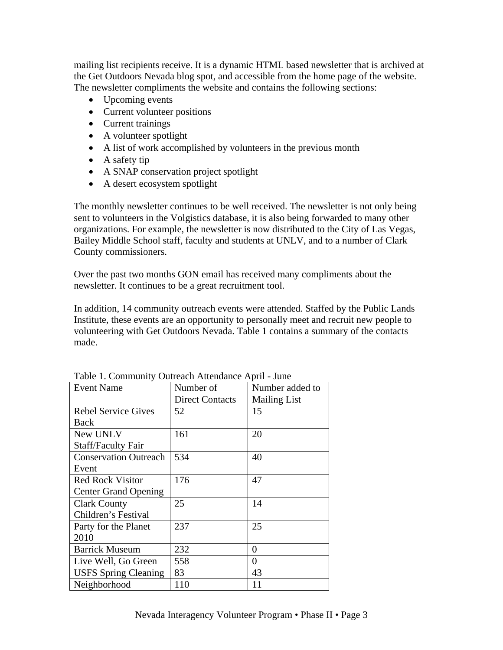mailing list recipients receive. It is a dynamic HTML based newsletter that is archived at the Get Outdoors Nevada blog spot, and accessible from the home page of the website. The newsletter compliments the website and contains the following sections:

- Upcoming events
- Current volunteer positions
- Current trainings
- A volunteer spotlight
- A list of work accomplished by volunteers in the previous month
- A safety tip
- A SNAP conservation project spotlight
- A desert ecosystem spotlight

The monthly newsletter continues to be well received. The newsletter is not only being sent to volunteers in the Volgistics database, it is also being forwarded to many other organizations. For example, the newsletter is now distributed to the City of Las Vegas, Bailey Middle School staff, faculty and students at UNLV, and to a number of Clark County commissioners.

Over the past two months GON email has received many compliments about the newsletter. It continues to be a great recruitment tool.

In addition, 14 community outreach events were attended. Staffed by the Public Lands Institute, these events are an opportunity to personally meet and recruit new people to volunteering with Get Outdoors Nevada. Table 1 contains a summary of the contacts made.

| <b>Event Name</b>            | Number of              | Number added to     |
|------------------------------|------------------------|---------------------|
|                              | <b>Direct Contacts</b> | <b>Mailing List</b> |
| <b>Rebel Service Gives</b>   | 52                     | 15                  |
| Back                         |                        |                     |
| New UNLV                     | 161                    | 20                  |
| <b>Staff/Faculty Fair</b>    |                        |                     |
| <b>Conservation Outreach</b> | 534                    | 40                  |
| Event                        |                        |                     |
| <b>Red Rock Visitor</b>      | 176                    | 47                  |
| <b>Center Grand Opening</b>  |                        |                     |
| <b>Clark County</b>          | 25                     | 14                  |
| Children's Festival          |                        |                     |
| Party for the Planet         | 237                    | 25                  |
| 2010                         |                        |                     |
| <b>Barrick Museum</b>        | 232                    | 0                   |
| Live Well, Go Green          | 558                    | 0                   |
| <b>USFS Spring Cleaning</b>  | 83                     | 43                  |
| Neighborhood                 | 110                    | 11                  |

Table 1. Community Outreach Attendance April - June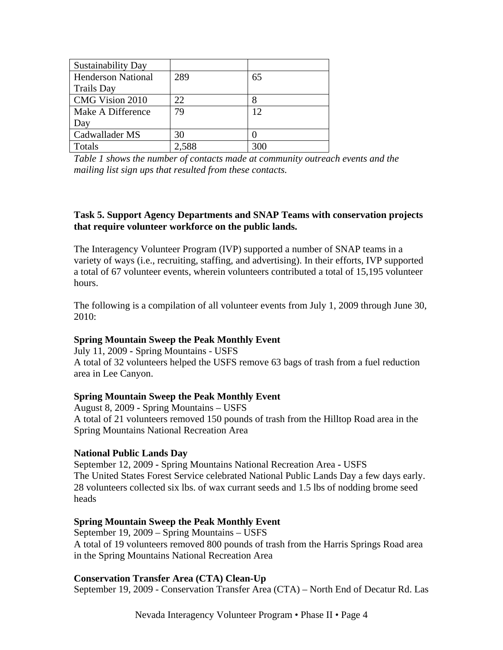| <b>Sustainability Day</b> |       |     |
|---------------------------|-------|-----|
| <b>Henderson National</b> | 289   | 65  |
| <b>Trails Day</b>         |       |     |
| CMG Vision 2010           | 22    |     |
| Make A Difference         | 79    | 12  |
| Day                       |       |     |
| Cadwallader MS            | 30    |     |
| Totals                    | 2.588 | 300 |

*Table 1 shows the number of contacts made at community outreach events and the mailing list sign ups that resulted from these contacts.* 

#### **Task 5. Support Agency Departments and SNAP Teams with conservation projects that require volunteer workforce on the public lands.**

The Interagency Volunteer Program (IVP) supported a number of SNAP teams in a variety of ways (i.e., recruiting, staffing, and advertising). In their efforts, IVP supported a total of 67 volunteer events, wherein volunteers contributed a total of 15,195 volunteer hours.

The following is a compilation of all volunteer events from July 1, 2009 through June 30, 2010:

#### **Spring Mountain Sweep the Peak Monthly Event**

July 11, 2009 **-** Spring Mountains - USFS A total of 32 volunteers helped the USFS remove 63 bags of trash from a fuel reduction area in Lee Canyon.

#### **Spring Mountain Sweep the Peak Monthly Event**

August 8, 2009 **-** Spring Mountains – USFS A total of 21 volunteers removed 150 pounds of trash from the Hilltop Road area in the Spring Mountains National Recreation Area

#### **National Public Lands Day**

September 12, 2009 **-** Spring Mountains National Recreation Area **-** USFS The United States Forest Service celebrated National Public Lands Day a few days early. 28 volunteers collected six lbs. of wax currant seeds and 1.5 lbs of nodding brome seed heads

# **Spring Mountain Sweep the Peak Monthly Event**

September 19, 2009 – Spring Mountains – USFS A total of 19 volunteers removed 800 pounds of trash from the Harris Springs Road area in the Spring Mountains National Recreation Area

#### **Conservation Transfer Area (CTA) Clean-Up**

September 19, 2009 - Conservation Transfer Area (CTA) – North End of Decatur Rd. Las

Nevada Interagency Volunteer Program • Phase II • Page 4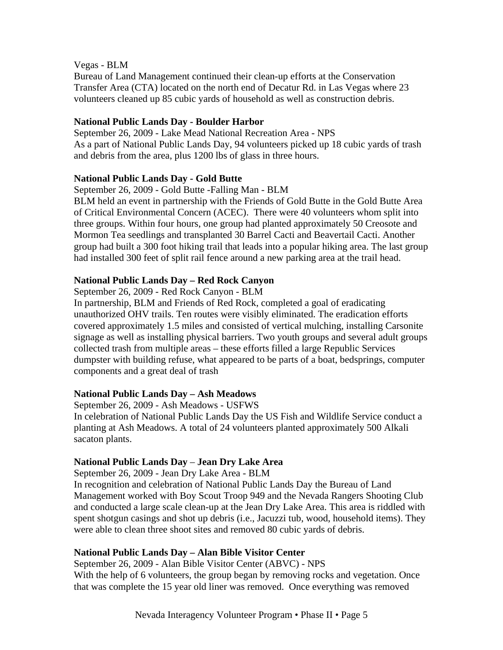#### Vegas - BLM

Bureau of Land Management continued their clean-up efforts at the Conservation Transfer Area (CTA) located on the north end of Decatur Rd. in Las Vegas where 23 volunteers cleaned up 85 cubic yards of household as well as construction debris.

# **National Public Lands Day - Boulder Harbor**

September 26, 2009 - Lake Mead National Recreation Area - NPS As a part of National Public Lands Day, 94 volunteers picked up 18 cubic yards of trash and debris from the area, plus 1200 lbs of glass in three hours.

### **National Public Lands Day - Gold Butte**

September 26, 2009 - Gold Butte -Falling Man - BLM

BLM held an event in partnership with the Friends of Gold Butte in the Gold Butte Area of Critical Environmental Concern (ACEC). There were 40 volunteers whom split into three groups. Within four hours, one group had planted approximately 50 Creosote and Mormon Tea seedlings and transplanted 30 Barrel Cacti and Beavertail Cacti. Another group had built a 300 foot hiking trail that leads into a popular hiking area. The last group had installed 300 feet of split rail fence around a new parking area at the trail head.

# **National Public Lands Day – Red Rock Canyon**

September 26, 2009 - Red Rock Canyon - BLM

In partnership, BLM and Friends of Red Rock, completed a goal of eradicating unauthorized OHV trails. Ten routes were visibly eliminated. The eradication efforts covered approximately 1.5 miles and consisted of vertical mulching, installing Carsonite signage as well as installing physical barriers. Two youth groups and several adult groups collected trash from multiple areas – these efforts filled a large Republic Services dumpster with building refuse, what appeared to be parts of a boat, bedsprings, computer components and a great deal of trash

# **National Public Lands Day – Ash Meadows**

September 26, 2009 - Ash Meadows - USFWS In celebration of National Public Lands Day the US Fish and Wildlife Service conduct a planting at Ash Meadows. A total of 24 volunteers planted approximately 500 Alkali sacaton plants.

#### **National Public Lands Day** – **Jean Dry Lake Area**

September 26, 2009 - Jean Dry Lake Area - BLM

In recognition and celebration of National Public Lands Day the Bureau of Land Management worked with Boy Scout Troop 949 and the Nevada Rangers Shooting Club and conducted a large scale clean-up at the Jean Dry Lake Area. This area is riddled with spent shotgun casings and shot up debris (i.e., Jacuzzi tub, wood, household items). They were able to clean three shoot sites and removed 80 cubic yards of debris.

# **National Public Lands Day – Alan Bible Visitor Center**

September 26, 2009 - Alan Bible Visitor Center (ABVC) - NPS With the help of 6 volunteers, the group began by removing rocks and vegetation. Once that was complete the 15 year old liner was removed. Once everything was removed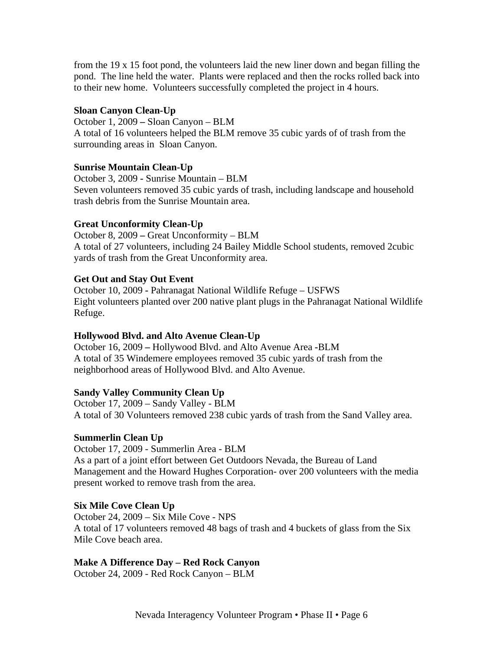from the 19 x 15 foot pond, the volunteers laid the new liner down and began filling the pond. The line held the water. Plants were replaced and then the rocks rolled back into to their new home. Volunteers successfully completed the project in 4 hours.

## **Sloan Canyon Clean-Up**

October 1, 2009 **–** Sloan Canyon – BLM A total of 16 volunteers helped the BLM remove 35 cubic yards of of trash from the surrounding areas in Sloan Canyon.

## **Sunrise Mountain Clean-Up**

October 3, 2009 **-** Sunrise Mountain – BLM Seven volunteers removed 35 cubic yards of trash, including landscape and household trash debris from the Sunrise Mountain area.

# **Great Unconformity Clean-Up**

October 8, 2009 **–** Great Unconformity – BLM A total of 27 volunteers, including 24 Bailey Middle School students, removed 2cubic yards of trash from the Great Unconformity area.

### **Get Out and Stay Out Event**

October 10, 2009 **-** Pahranagat National Wildlife Refuge – USFWS Eight volunteers planted over 200 native plant plugs in the Pahranagat National Wildlife Refuge.

# **Hollywood Blvd. and Alto Avenue Clean-Up**

October 16, 2009 **–** Hollywood Blvd. and Alto Avenue Area **-**BLM A total of 35 Windemere employees removed 35 cubic yards of trash from the neighborhood areas of Hollywood Blvd. and Alto Avenue.

# **Sandy Valley Community Clean Up**

October 17, 2009 – Sandy Valley - BLM A total of 30 Volunteers removed 238 cubic yards of trash from the Sand Valley area.

# **Summerlin Clean Up**

October 17, 2009 - Summerlin Area - BLM As a part of a joint effort between Get Outdoors Nevada, the Bureau of Land Management and the Howard Hughes Corporation- over 200 volunteers with the media present worked to remove trash from the area.

#### **Six Mile Cove Clean Up**

October 24, 2009 – Six Mile Cove - NPS A total of 17 volunteers removed 48 bags of trash and 4 buckets of glass from the Six Mile Cove beach area.

# **Make A Difference Day – Red Rock Canyon**

October 24, 2009 - Red Rock Canyon – BLM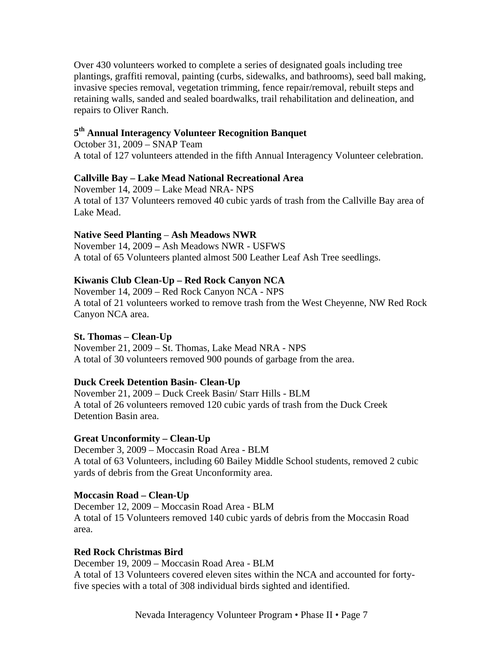Over 430 volunteers worked to complete a series of designated goals including tree plantings, graffiti removal, painting (curbs, sidewalks, and bathrooms), seed ball making, invasive species removal, vegetation trimming, fence repair/removal, rebuilt steps and retaining walls, sanded and sealed boardwalks, trail rehabilitation and delineation, and repairs to Oliver Ranch.

# **5th Annual Interagency Volunteer Recognition Banquet**

October 31, 2009 – SNAP Team A total of 127 volunteers attended in the fifth Annual Interagency Volunteer celebration.

#### **Callville Bay – Lake Mead National Recreational Area**

November 14, 2009 – Lake Mead NRA- NPS A total of 137 Volunteers removed 40 cubic yards of trash from the Callville Bay area of Lake Mead.

#### **Native Seed Planting** – **Ash Meadows NWR**

November 14, 2009 **–** Ash Meadows NWR - USFWS A total of 65 Volunteers planted almost 500 Leather Leaf Ash Tree seedlings.

#### **Kiwanis Club Clean-Up – Red Rock Canyon NCA**

November 14, 2009 – Red Rock Canyon NCA - NPS A total of 21 volunteers worked to remove trash from the West Cheyenne, NW Red Rock Canyon NCA area.

#### **St. Thomas – Clean-Up**

November 21, 2009 – St. Thomas, Lake Mead NRA - NPS A total of 30 volunteers removed 900 pounds of garbage from the area.

#### **Duck Creek Detention Basin- Clean-Up**

November 21, 2009 – Duck Creek Basin/ Starr Hills - BLM A total of 26 volunteers removed 120 cubic yards of trash from the Duck Creek Detention Basin area.

#### **Great Unconformity – Clean-Up**

December 3, 2009 – Moccasin Road Area - BLM A total of 63 Volunteers, including 60 Bailey Middle School students, removed 2 cubic yards of debris from the Great Unconformity area.

#### **Moccasin Road – Clean-Up**

December 12, 2009 – Moccasin Road Area - BLM A total of 15 Volunteers removed 140 cubic yards of debris from the Moccasin Road area.

#### **Red Rock Christmas Bird**

December 19, 2009 – Moccasin Road Area - BLM A total of 13 Volunteers covered eleven sites within the NCA and accounted for fortyfive species with a total of 308 individual birds sighted and identified.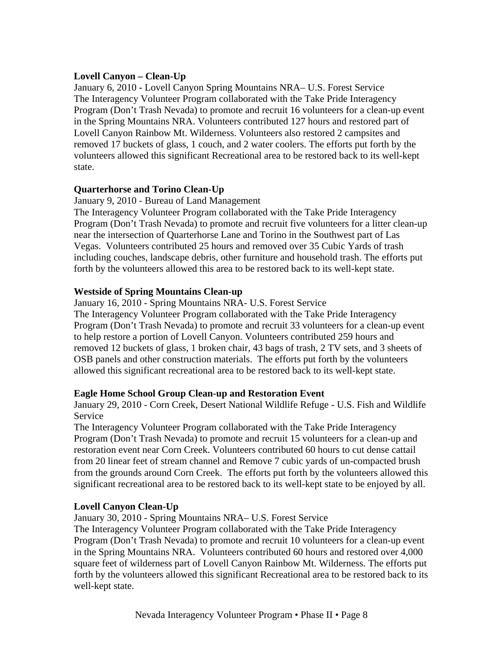# **Lovell Canyon – Clean-Up**

January 6, 2010 **-** Lovell Canyon Spring Mountains NRA– U.S. Forest Service The Interagency Volunteer Program collaborated with the Take Pride Interagency Program (Don't Trash Nevada) to promote and recruit 16 volunteers for a clean-up event in the Spring Mountains NRA. Volunteers contributed 127 hours and restored part of Lovell Canyon Rainbow Mt. Wilderness. Volunteers also restored 2 campsites and removed 17 buckets of glass, 1 couch, and 2 water coolers. The efforts put forth by the volunteers allowed this significant Recreational area to be restored back to its well-kept state.

# **Quarterhorse and Torino Clean-Up**

January 9, 2010 - Bureau of Land Management

The Interagency Volunteer Program collaborated with the Take Pride Interagency Program (Don't Trash Nevada) to promote and recruit five volunteers for a litter clean-up near the intersection of Quarterhorse Lane and Torino in the Southwest part of Las Vegas. Volunteers contributed 25 hours and removed over 35 Cubic Yards of trash including couches, landscape debris, other furniture and household trash. The efforts put forth by the volunteers allowed this area to be restored back to its well-kept state.

# **Westside of Spring Mountains Clean-up**

January 16, 2010 - Spring Mountains NRA- U.S. Forest Service The Interagency Volunteer Program collaborated with the Take Pride Interagency Program (Don't Trash Nevada) to promote and recruit 33 volunteers for a clean-up event to help restore a portion of Lovell Canyon. Volunteers contributed 259 hours and removed 12 buckets of glass, 1 broken chair, 43 bags of trash, 2 TV sets, and 3 sheets of OSB panels and other construction materials. The efforts put forth by the volunteers allowed this significant recreational area to be restored back to its well-kept state.

# **Eagle Home School Group Clean-up and Restoration Event**

January 29, 2010 - Corn Creek, Desert National Wildlife Refuge - U.S. Fish and Wildlife Service

The Interagency Volunteer Program collaborated with the Take Pride Interagency Program (Don't Trash Nevada) to promote and recruit 15 volunteers for a clean-up and restoration event near Corn Creek. Volunteers contributed 60 hours to cut dense cattail from 20 linear feet of stream channel and Remove 7 cubic yards of un-compacted brush from the grounds around Corn Creek. The efforts put forth by the volunteers allowed this significant recreational area to be restored back to its well-kept state to be enjoyed by all.

# **Lovell Canyon Clean-Up**

January 30, 2010 - Spring Mountains NRA– U.S. Forest Service

The Interagency Volunteer Program collaborated with the Take Pride Interagency Program (Don't Trash Nevada) to promote and recruit 10 volunteers for a clean-up event in the Spring Mountains NRA. Volunteers contributed 60 hours and restored over 4,000 square feet of wilderness part of Lovell Canyon Rainbow Mt. Wilderness. The efforts put forth by the volunteers allowed this significant Recreational area to be restored back to its well-kept state.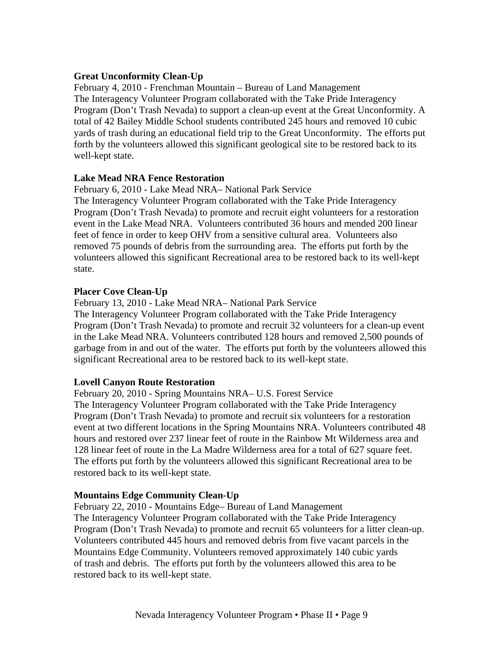#### **Great Unconformity Clean-Up**

February 4, 2010 - Frenchman Mountain – Bureau of Land Management The Interagency Volunteer Program collaborated with the Take Pride Interagency Program (Don't Trash Nevada) to support a clean-up event at the Great Unconformity. A total of 42 Bailey Middle School students contributed 245 hours and removed 10 cubic yards of trash during an educational field trip to the Great Unconformity. The efforts put forth by the volunteers allowed this significant geological site to be restored back to its well-kept state.

### **Lake Mead NRA Fence Restoration**

February 6, 2010 - Lake Mead NRA– National Park Service

The Interagency Volunteer Program collaborated with the Take Pride Interagency Program (Don't Trash Nevada) to promote and recruit eight volunteers for a restoration event in the Lake Mead NRA. Volunteers contributed 36 hours and mended 200 linear feet of fence in order to keep OHV from a sensitive cultural area. Volunteers also removed 75 pounds of debris from the surrounding area. The efforts put forth by the volunteers allowed this significant Recreational area to be restored back to its well-kept state.

### **Placer Cove Clean-Up**

February 13, 2010 - Lake Mead NRA– National Park Service

The Interagency Volunteer Program collaborated with the Take Pride Interagency Program (Don't Trash Nevada) to promote and recruit 32 volunteers for a clean-up event in the Lake Mead NRA. Volunteers contributed 128 hours and removed 2,500 pounds of garbage from in and out of the water. The efforts put forth by the volunteers allowed this significant Recreational area to be restored back to its well-kept state.

# **Lovell Canyon Route Restoration**

February 20, 2010 - Spring Mountains NRA– U.S. Forest Service The Interagency Volunteer Program collaborated with the Take Pride Interagency Program (Don't Trash Nevada) to promote and recruit six volunteers for a restoration event at two different locations in the Spring Mountains NRA. Volunteers contributed 48 hours and restored over 237 linear feet of route in the Rainbow Mt Wilderness area and 128 linear feet of route in the La Madre Wilderness area for a total of 627 square feet. The efforts put forth by the volunteers allowed this significant Recreational area to be restored back to its well-kept state.

#### **Mountains Edge Community Clean-Up**

February 22, 2010 - Mountains Edge– Bureau of Land Management The Interagency Volunteer Program collaborated with the Take Pride Interagency Program (Don't Trash Nevada) to promote and recruit 65 volunteers for a litter clean-up. Volunteers contributed 445 hours and removed debris from five vacant parcels in the Mountains Edge Community. Volunteers removed approximately 140 cubic yards of trash and debris. The efforts put forth by the volunteers allowed this area to be restored back to its well-kept state.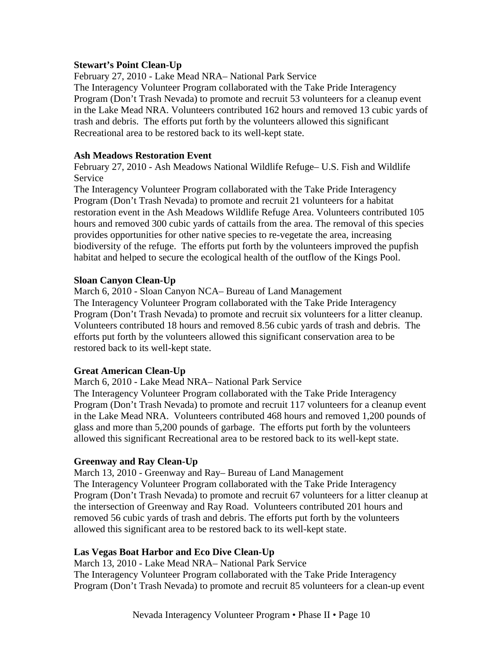#### **Stewart's Point Clean-Up**

February 27, 2010 - Lake Mead NRA– National Park Service The Interagency Volunteer Program collaborated with the Take Pride Interagency Program (Don't Trash Nevada) to promote and recruit 53 volunteers for a cleanup event in the Lake Mead NRA. Volunteers contributed 162 hours and removed 13 cubic yards of trash and debris. The efforts put forth by the volunteers allowed this significant Recreational area to be restored back to its well-kept state.

#### **Ash Meadows Restoration Event**

February 27, 2010 - Ash Meadows National Wildlife Refuge– U.S. Fish and Wildlife Service

The Interagency Volunteer Program collaborated with the Take Pride Interagency Program (Don't Trash Nevada) to promote and recruit 21 volunteers for a habitat restoration event in the Ash Meadows Wildlife Refuge Area. Volunteers contributed 105 hours and removed 300 cubic yards of cattails from the area. The removal of this species provides opportunities for other native species to re-vegetate the area, increasing biodiversity of the refuge. The efforts put forth by the volunteers improved the pupfish habitat and helped to secure the ecological health of the outflow of the Kings Pool.

### **Sloan Canyon Clean-Up**

March 6, 2010 - Sloan Canyon NCA– Bureau of Land Management The Interagency Volunteer Program collaborated with the Take Pride Interagency Program (Don't Trash Nevada) to promote and recruit six volunteers for a litter cleanup. Volunteers contributed 18 hours and removed 8.56 cubic yards of trash and debris. The efforts put forth by the volunteers allowed this significant conservation area to be restored back to its well-kept state.

#### **Great American Clean-Up**

March 6, 2010 - Lake Mead NRA– National Park Service

The Interagency Volunteer Program collaborated with the Take Pride Interagency Program (Don't Trash Nevada) to promote and recruit 117 volunteers for a cleanup event in the Lake Mead NRA. Volunteers contributed 468 hours and removed 1,200 pounds of glass and more than 5,200 pounds of garbage. The efforts put forth by the volunteers allowed this significant Recreational area to be restored back to its well-kept state.

# **Greenway and Ray Clean-Up**

March 13, 2010 - Greenway and Ray– Bureau of Land Management The Interagency Volunteer Program collaborated with the Take Pride Interagency Program (Don't Trash Nevada) to promote and recruit 67 volunteers for a litter cleanup at the intersection of Greenway and Ray Road. Volunteers contributed 201 hours and removed 56 cubic yards of trash and debris. The efforts put forth by the volunteers allowed this significant area to be restored back to its well-kept state.

# **Las Vegas Boat Harbor and Eco Dive Clean-Up**

March 13, 2010 - Lake Mead NRA– National Park Service The Interagency Volunteer Program collaborated with the Take Pride Interagency Program (Don't Trash Nevada) to promote and recruit 85 volunteers for a clean-up event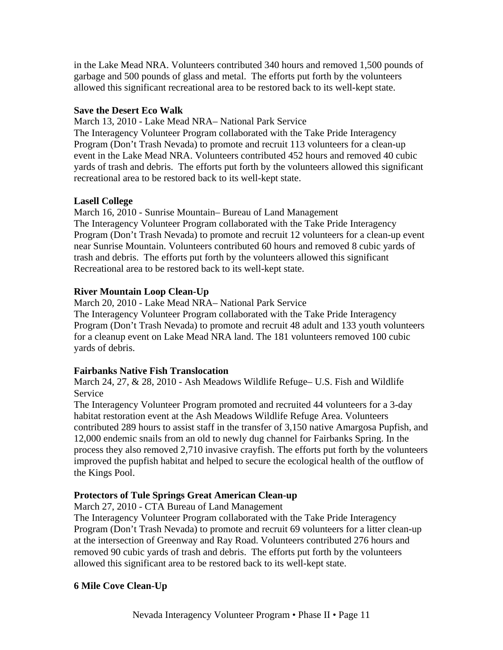in the Lake Mead NRA. Volunteers contributed 340 hours and removed 1,500 pounds of garbage and 500 pounds of glass and metal. The efforts put forth by the volunteers allowed this significant recreational area to be restored back to its well-kept state.

### **Save the Desert Eco Walk**

March 13, 2010 - Lake Mead NRA– National Park Service

The Interagency Volunteer Program collaborated with the Take Pride Interagency Program (Don't Trash Nevada) to promote and recruit 113 volunteers for a clean-up event in the Lake Mead NRA. Volunteers contributed 452 hours and removed 40 cubic yards of trash and debris. The efforts put forth by the volunteers allowed this significant recreational area to be restored back to its well-kept state.

# **Lasell College**

March 16, 2010 - Sunrise Mountain– Bureau of Land Management The Interagency Volunteer Program collaborated with the Take Pride Interagency Program (Don't Trash Nevada) to promote and recruit 12 volunteers for a clean-up event near Sunrise Mountain. Volunteers contributed 60 hours and removed 8 cubic yards of trash and debris. The efforts put forth by the volunteers allowed this significant Recreational area to be restored back to its well-kept state.

# **River Mountain Loop Clean-Up**

March 20, 2010 - Lake Mead NRA– National Park Service

The Interagency Volunteer Program collaborated with the Take Pride Interagency Program (Don't Trash Nevada) to promote and recruit 48 adult and 133 youth volunteers for a cleanup event on Lake Mead NRA land. The 181 volunteers removed 100 cubic yards of debris.

# **Fairbanks Native Fish Translocation**

March 24, 27, & 28, 2010 - Ash Meadows Wildlife Refuge– U.S. Fish and Wildlife Service

The Interagency Volunteer Program promoted and recruited 44 volunteers for a 3-day habitat restoration event at the Ash Meadows Wildlife Refuge Area. Volunteers contributed 289 hours to assist staff in the transfer of 3,150 native Amargosa Pupfish, and 12,000 endemic snails from an old to newly dug channel for Fairbanks Spring. In the process they also removed 2,710 invasive crayfish. The efforts put forth by the volunteers improved the pupfish habitat and helped to secure the ecological health of the outflow of the Kings Pool.

# **Protectors of Tule Springs Great American Clean-up**

March 27, 2010 - CTA Bureau of Land Management

The Interagency Volunteer Program collaborated with the Take Pride Interagency Program (Don't Trash Nevada) to promote and recruit 69 volunteers for a litter clean-up at the intersection of Greenway and Ray Road. Volunteers contributed 276 hours and removed 90 cubic yards of trash and debris. The efforts put forth by the volunteers allowed this significant area to be restored back to its well-kept state.

# **6 Mile Cove Clean-Up**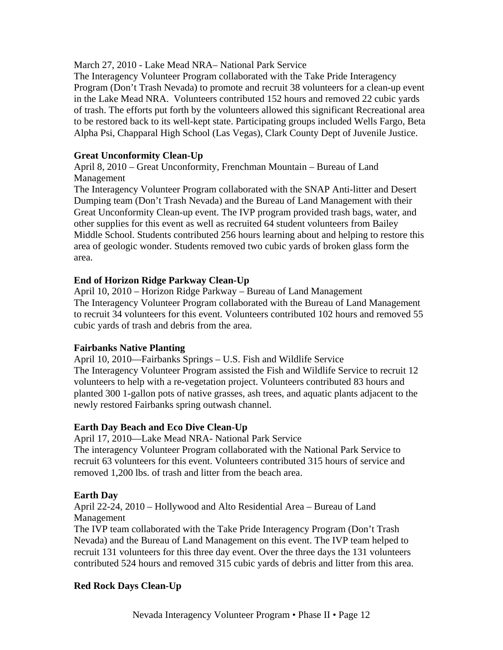March 27, 2010 - Lake Mead NRA– National Park Service

The Interagency Volunteer Program collaborated with the Take Pride Interagency Program (Don't Trash Nevada) to promote and recruit 38 volunteers for a clean-up event in the Lake Mead NRA. Volunteers contributed 152 hours and removed 22 cubic yards of trash. The efforts put forth by the volunteers allowed this significant Recreational area to be restored back to its well-kept state. Participating groups included Wells Fargo, Beta Alpha Psi, Chapparal High School (Las Vegas), Clark County Dept of Juvenile Justice.

### **Great Unconformity Clean-Up**

April 8, 2010 – Great Unconformity, Frenchman Mountain – Bureau of Land Management

The Interagency Volunteer Program collaborated with the SNAP Anti-litter and Desert Dumping team (Don't Trash Nevada) and the Bureau of Land Management with their Great Unconformity Clean-up event. The IVP program provided trash bags, water, and other supplies for this event as well as recruited 64 student volunteers from Bailey Middle School. Students contributed 256 hours learning about and helping to restore this area of geologic wonder. Students removed two cubic yards of broken glass form the area.

### **End of Horizon Ridge Parkway Clean-Up**

April 10, 2010 – Horizon Ridge Parkway – Bureau of Land Management The Interagency Volunteer Program collaborated with the Bureau of Land Management to recruit 34 volunteers for this event. Volunteers contributed 102 hours and removed 55 cubic yards of trash and debris from the area.

#### **Fairbanks Native Planting**

April 10, 2010—Fairbanks Springs – U.S. Fish and Wildlife Service The Interagency Volunteer Program assisted the Fish and Wildlife Service to recruit 12 volunteers to help with a re-vegetation project. Volunteers contributed 83 hours and planted 300 1-gallon pots of native grasses, ash trees, and aquatic plants adjacent to the newly restored Fairbanks spring outwash channel.

#### **Earth Day Beach and Eco Dive Clean-Up**

April 17, 2010—Lake Mead NRA- National Park Service

The interagency Volunteer Program collaborated with the National Park Service to recruit 63 volunteers for this event. Volunteers contributed 315 hours of service and removed 1,200 lbs. of trash and litter from the beach area.

#### **Earth Day**

April 22-24, 2010 – Hollywood and Alto Residential Area – Bureau of Land Management

The IVP team collaborated with the Take Pride Interagency Program (Don't Trash Nevada) and the Bureau of Land Management on this event. The IVP team helped to recruit 131 volunteers for this three day event. Over the three days the 131 volunteers contributed 524 hours and removed 315 cubic yards of debris and litter from this area.

#### **Red Rock Days Clean-Up**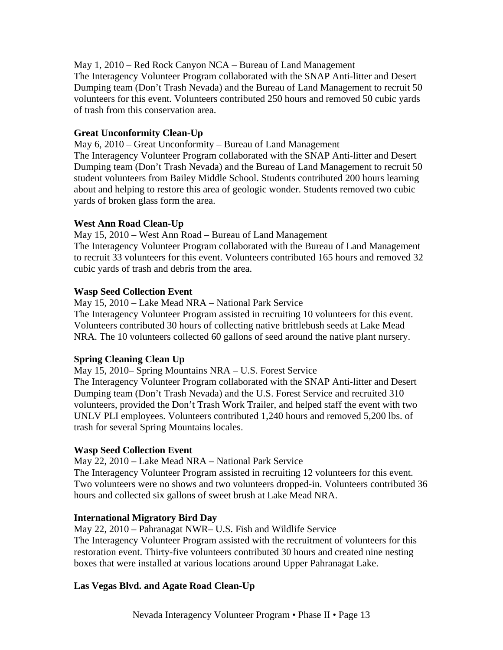May 1, 2010 – Red Rock Canyon NCA – Bureau of Land Management The Interagency Volunteer Program collaborated with the SNAP Anti-litter and Desert Dumping team (Don't Trash Nevada) and the Bureau of Land Management to recruit 50 volunteers for this event. Volunteers contributed 250 hours and removed 50 cubic yards of trash from this conservation area.

# **Great Unconformity Clean-Up**

May 6, 2010 – Great Unconformity – Bureau of Land Management The Interagency Volunteer Program collaborated with the SNAP Anti-litter and Desert Dumping team (Don't Trash Nevada) and the Bureau of Land Management to recruit 50 student volunteers from Bailey Middle School. Students contributed 200 hours learning about and helping to restore this area of geologic wonder. Students removed two cubic yards of broken glass form the area.

# **West Ann Road Clean-Up**

May 15, 2010 – West Ann Road – Bureau of Land Management The Interagency Volunteer Program collaborated with the Bureau of Land Management to recruit 33 volunteers for this event. Volunteers contributed 165 hours and removed 32 cubic yards of trash and debris from the area.

# **Wasp Seed Collection Event**

May 15, 2010 – Lake Mead NRA – National Park Service

The Interagency Volunteer Program assisted in recruiting 10 volunteers for this event. Volunteers contributed 30 hours of collecting native brittlebush seeds at Lake Mead NRA. The 10 volunteers collected 60 gallons of seed around the native plant nursery.

# **Spring Cleaning Clean Up**

May 15, 2010– Spring Mountains NRA – U.S. Forest Service

The Interagency Volunteer Program collaborated with the SNAP Anti-litter and Desert Dumping team (Don't Trash Nevada) and the U.S. Forest Service and recruited 310 volunteers, provided the Don't Trash Work Trailer, and helped staff the event with two UNLV PLI employees. Volunteers contributed 1,240 hours and removed 5,200 lbs. of trash for several Spring Mountains locales.

# **Wasp Seed Collection Event**

May 22, 2010 – Lake Mead NRA – National Park Service

The Interagency Volunteer Program assisted in recruiting 12 volunteers for this event. Two volunteers were no shows and two volunteers dropped-in. Volunteers contributed 36 hours and collected six gallons of sweet brush at Lake Mead NRA.

# **International Migratory Bird Day**

May 22, 2010 – Pahranagat NWR– U.S. Fish and Wildlife Service The Interagency Volunteer Program assisted with the recruitment of volunteers for this restoration event. Thirty-five volunteers contributed 30 hours and created nine nesting boxes that were installed at various locations around Upper Pahranagat Lake.

# **Las Vegas Blvd. and Agate Road Clean-Up**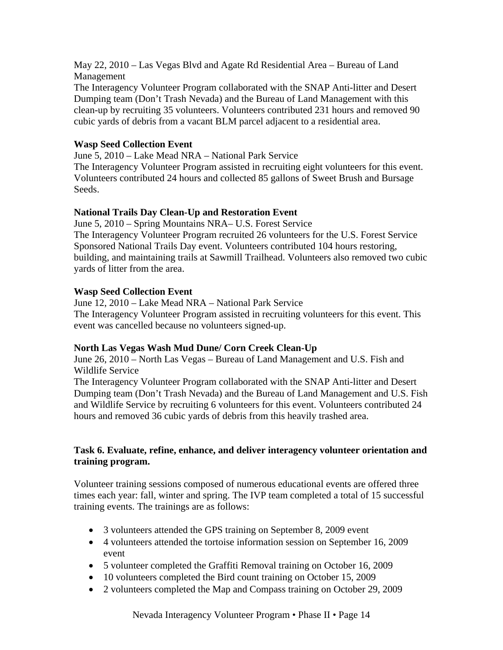May 22, 2010 – Las Vegas Blvd and Agate Rd Residential Area – Bureau of Land Management

The Interagency Volunteer Program collaborated with the SNAP Anti-litter and Desert Dumping team (Don't Trash Nevada) and the Bureau of Land Management with this clean-up by recruiting 35 volunteers. Volunteers contributed 231 hours and removed 90 cubic yards of debris from a vacant BLM parcel adjacent to a residential area.

# **Wasp Seed Collection Event**

June 5, 2010 – Lake Mead NRA – National Park Service

The Interagency Volunteer Program assisted in recruiting eight volunteers for this event. Volunteers contributed 24 hours and collected 85 gallons of Sweet Brush and Bursage Seeds.

# **National Trails Day Clean-Up and Restoration Event**

June 5, 2010 – Spring Mountains NRA– U.S. Forest Service The Interagency Volunteer Program recruited 26 volunteers for the U.S. Forest Service Sponsored National Trails Day event. Volunteers contributed 104 hours restoring, building, and maintaining trails at Sawmill Trailhead. Volunteers also removed two cubic yards of litter from the area.

# **Wasp Seed Collection Event**

June 12, 2010 – Lake Mead NRA – National Park Service The Interagency Volunteer Program assisted in recruiting volunteers for this event. This event was cancelled because no volunteers signed-up.

# **North Las Vegas Wash Mud Dune/ Corn Creek Clean-Up**

June 26, 2010 – North Las Vegas – Bureau of Land Management and U.S. Fish and Wildlife Service

The Interagency Volunteer Program collaborated with the SNAP Anti-litter and Desert Dumping team (Don't Trash Nevada) and the Bureau of Land Management and U.S. Fish and Wildlife Service by recruiting 6 volunteers for this event. Volunteers contributed 24 hours and removed 36 cubic yards of debris from this heavily trashed area.

# **Task 6. Evaluate, refine, enhance, and deliver interagency volunteer orientation and training program.**

Volunteer training sessions composed of numerous educational events are offered three times each year: fall, winter and spring. The IVP team completed a total of 15 successful training events. The trainings are as follows:

- 3 volunteers attended the GPS training on September 8, 2009 event
- 4 volunteers attended the tortoise information session on September 16, 2009 event
- 5 volunteer completed the Graffiti Removal training on October 16, 2009
- 10 volunteers completed the Bird count training on October 15, 2009
- 2 volunteers completed the Map and Compass training on October 29, 2009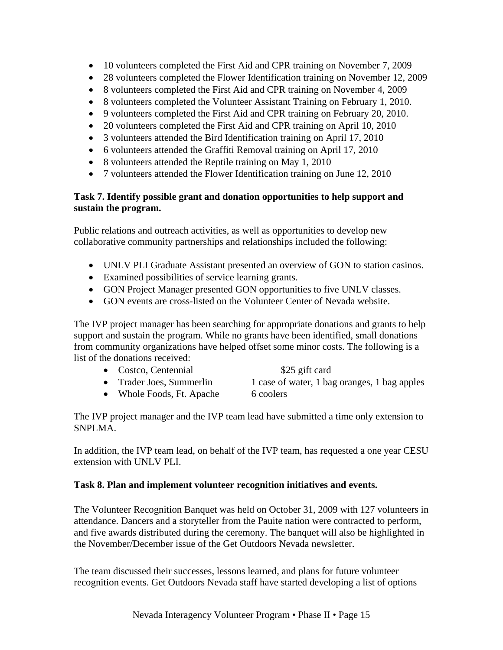- 10 volunteers completed the First Aid and CPR training on November 7, 2009
- 28 volunteers completed the Flower Identification training on November 12, 2009
- 8 volunteers completed the First Aid and CPR training on November 4, 2009
- 8 volunteers completed the Volunteer Assistant Training on February 1, 2010.
- 9 volunteers completed the First Aid and CPR training on February 20, 2010.
- 20 volunteers completed the First Aid and CPR training on April 10, 2010
- 3 volunteers attended the Bird Identification training on April 17, 2010
- 6 volunteers attended the Graffiti Removal training on April 17, 2010
- 8 volunteers attended the Reptile training on May 1, 2010
- 7 volunteers attended the Flower Identification training on June 12, 2010

# **Task 7. Identify possible grant and donation opportunities to help support and sustain the program.**

Public relations and outreach activities, as well as opportunities to develop new collaborative community partnerships and relationships included the following:

- UNLV PLI Graduate Assistant presented an overview of GON to station casinos.
- Examined possibilities of service learning grants.
- GON Project Manager presented GON opportunities to five UNLV classes.
- GON events are cross-listed on the Volunteer Center of Nevada website.

The IVP project manager has been searching for appropriate donations and grants to help support and sustain the program. While no grants have been identified, small donations from community organizations have helped offset some minor costs. The following is a list of the donations received:

|           | • Costco, Centennial     | \$25 gift card                               |
|-----------|--------------------------|----------------------------------------------|
|           | • Trader Joes, Summerlin | 1 case of water, 1 bag oranges, 1 bag apples |
| $\bullet$ | Whole Foods, Ft. Apache  | 6 coolers                                    |

The IVP project manager and the IVP team lead have submitted a time only extension to SNPLMA.

In addition, the IVP team lead, on behalf of the IVP team, has requested a one year CESU extension with UNLV PLI.

# **Task 8. Plan and implement volunteer recognition initiatives and events.**

The Volunteer Recognition Banquet was held on October 31, 2009 with 127 volunteers in attendance. Dancers and a storyteller from the Pauite nation were contracted to perform, and five awards distributed during the ceremony. The banquet will also be highlighted in the November/December issue of the Get Outdoors Nevada newsletter.

The team discussed their successes, lessons learned, and plans for future volunteer recognition events. Get Outdoors Nevada staff have started developing a list of options